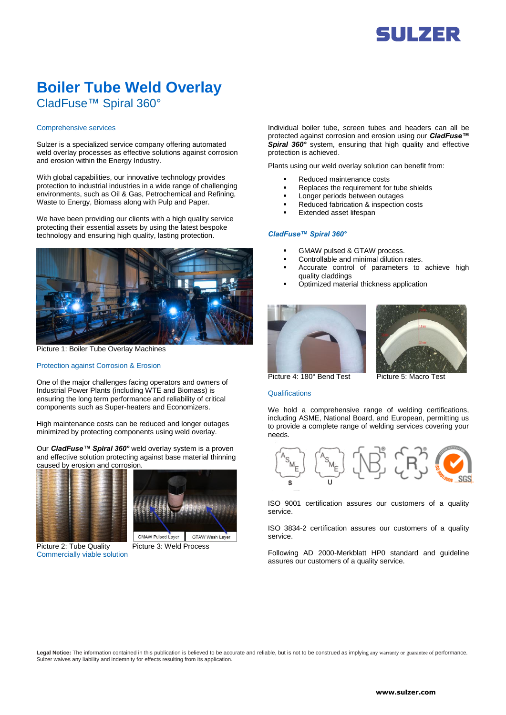# **Boiler Tube Weld Overlay** CladFuse™ Spiral 360°

### Comprehensive services

Sulzer is a specialized service company offering automated weld overlay processes as effective solutions against corrosion and erosion within the Energy Industry.

With global capabilities, our innovative technology provides protection to industrial industries in a wide range of challenging environments, such as Oil & Gas, Petrochemical and Refining, Waste to Energy, Biomass along with Pulp and Paper.

We have been providing our clients with a high quality service protecting their essential assets by using the latest bespoke technology and ensuring high quality, lasting protection.



Picture 1: Boiler Tube Overlay Machines

## Protection against Corrosion & Erosion

One of the major challenges facing operators and owners of Industrial Power Plants (including WTE and Biomass) is ensuring the long term performance and reliability of critical components such as Super-heaters and Economizers.

High maintenance costs can be reduced and longer outages minimized by protecting components using weld overlay.

Our *CladFuse™ Spiral 360°* weld overlay system is a proven and effective solution protecting against base material thinning caused by erosion and corrosion.





Picture 2: Tube Quality Picture 3: Weld Process Commercially viable solution

GMAW Pulsed Layer GTAW Wash Layer

Individual boiler tube, screen tubes and headers can all be protected against corrosion and erosion using our *CladFuse™ Spiral 360°* system, ensuring that high quality and effective protection is achieved.

Plants using our weld overlay solution can benefit from:

- Reduced maintenance costs
- Replaces the requirement for tube shields
- **Longer periods between outages**
- Reduced fabrication & inspection costs
- Extended asset lifespan

## *CladFuse™ Spiral 360°*

- GMAW pulsed & GTAW process.
- Controllable and minimal dilution rates.
- Accurate control of parameters to achieve high quality claddings
- Optimized material thickness application





Picture 4: 180° Bend Test Picture 5: Macro Test

**Qualifications** 

We hold a comprehensive range of welding certifications, including ASME, National Board, and European, permitting us to provide a complete range of welding services covering your needs.



ISO 9001 certification assures our customers of a quality service.

ISO 3834-2 certification assures our customers of a quality service.

Following AD 2000-Merkblatt HP0 standard and guideline assures our customers of a quality service.

**Legal Notice:** The information contained in this publication is believed to be accurate and reliable, but is not to be construed as implying any warranty or guarantee of performance. Sulzer waives any liability and indemnity for effects resulting from its application.